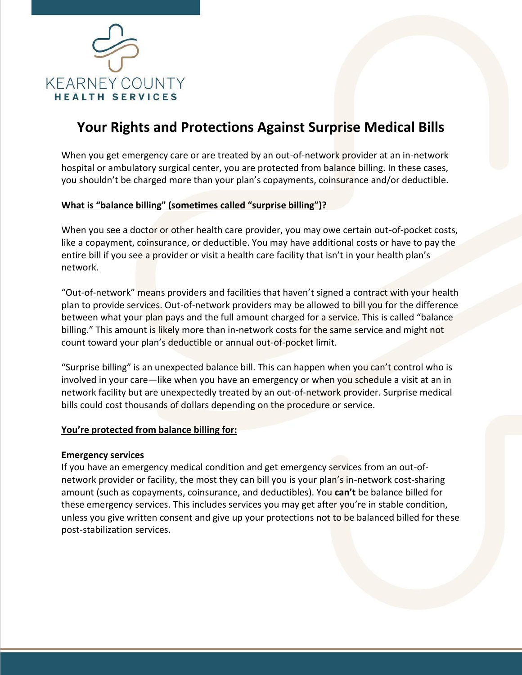

# **Your Rights and Protections Against Surprise Medical Bills**

When you get emergency care or are treated by an out-of-network provider at an in-network hospital or ambulatory surgical center, you are protected from balance billing. In these cases, you shouldn't be charged more than your plan's copayments, coinsurance and/or deductible.

## **What is "balance billing" (sometimes called "surprise billing")?**

When you see a doctor or other health care provider, you may owe certain out-of-pocket costs, like a copayment, coinsurance, or deductible. You may have additional costs or have to pay the entire bill if you see a provider or visit a health care facility that isn't in your health plan's network.

"Out-of-network" means providers and facilities that haven't signed a contract with your health plan to provide services. Out-of-network providers may be allowed to bill you for the difference between what your plan pays and the full amount charged for a service. This is called "balance billing." This amount is likely more than in-network costs for the same service and might not count toward your plan's deductible or annual out-of-pocket limit.

"Surprise billing" is an unexpected balance bill. This can happen when you can't control who is involved in your care—like when you have an emergency or when you schedule a visit at an in network facility but are unexpectedly treated by an out-of-network provider. Surprise medical bills could cost thousands of dollars depending on the procedure or service.

#### **You're protected from balance billing for:**

#### **Emergency services**

If you have an emergency medical condition and get emergency services from an out-ofnetwork provider or facility, the most they can bill you is your plan's in-network cost-sharing amount (such as copayments, coinsurance, and deductibles). You **can't** be balance billed for these emergency services. This includes services you may get after you're in stable condition, unless you give written consent and give up your protections not to be balanced billed for these post-stabilization services.